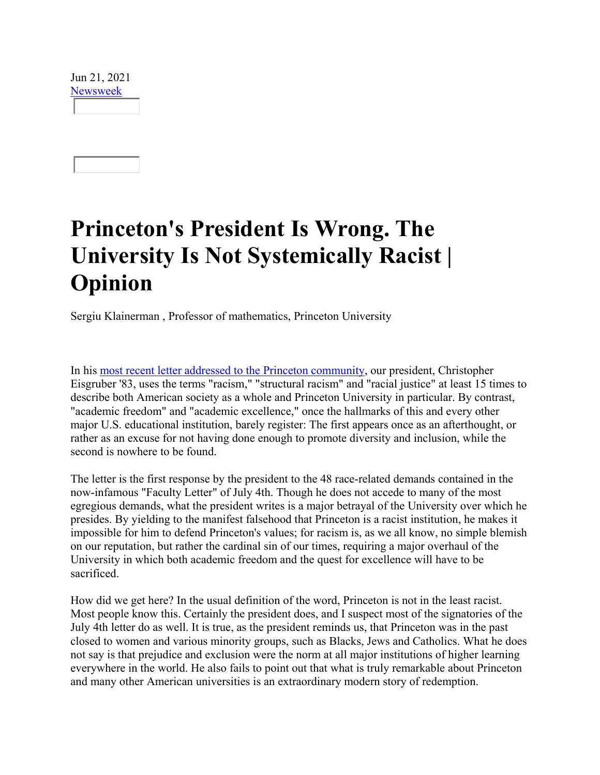| Jun 21, 2021    |
|-----------------|
| <b>Newsweek</b> |
|                 |

## **Princeton's President Is Wrong. The University Is Not Systemically Racist | Opinion**

Sergiu Klainerman , Professor of mathematics, Princeton University

In his [most recent letter addressed to the Princeton community,](https://www.princeton.edu/news/2020/09/02/letter-president-eisgruber-universitys-efforts-combat-systemic-racism) our president, Christopher Eisgruber '83, uses the terms "racism," "structural racism" and "racial justice" at least 15 times to describe both American society as a whole and Princeton University in particular. By contrast, "academic freedom" and "academic excellence," once the hallmarks of this and every other major U.S. educational institution, barely register: The first appears once as an afterthought, or rather as an excuse for not having done enough to promote diversity and inclusion, while the second is nowhere to be found.

The letter is the first response by the president to the 48 race-related demands contained in the now-infamous "Faculty Letter" of July 4th. Though he does not accede to many of the most egregious demands, what the president writes is a major betrayal of the University over which he presides. By yielding to the manifest falsehood that Princeton is a racist institution, he makes it impossible for him to defend Princeton's values; for racism is, as we all know, no simple blemish on our reputation, but rather the cardinal sin of our times, requiring a major overhaul of the University in which both academic freedom and the quest for excellence will have to be sacrificed.

How did we get here? In the usual definition of the word, Princeton is not in the least racist. Most people know this. Certainly the president does, and I suspect most of the signatories of the July 4th letter do as well. It is true, as the president reminds us, that Princeton was in the past closed to women and various minority groups, such as Blacks, Jews and Catholics. What he does not say is that prejudice and exclusion were the norm at all major institutions of higher learning everywhere in the world. He also fails to point out that what is truly remarkable about Princeton and many other American universities is an extraordinary modern story of redemption.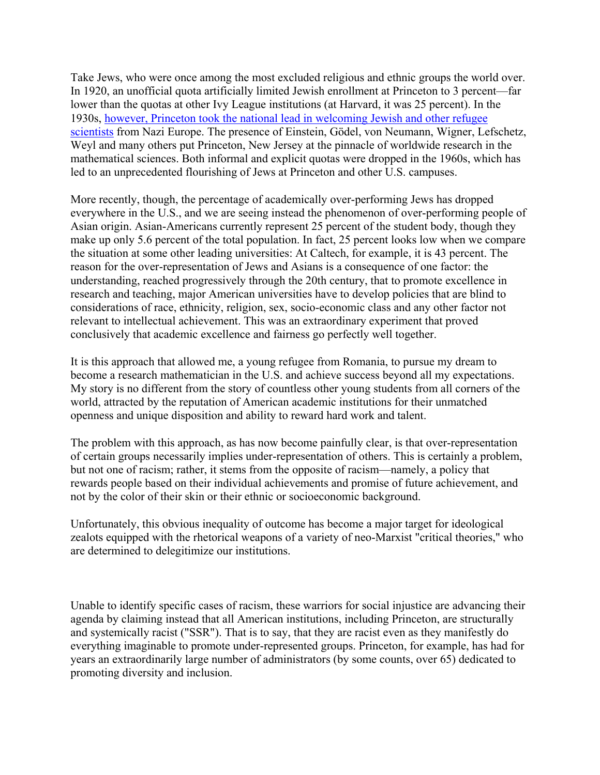Take Jews, who were once among the most excluded religious and ethnic groups the world over. In 1920, an unofficial quota artificially limited Jewish enrollment at Princeton to 3 percent—far lower than the quotas at other Ivy League institutions (at Harvard, it was 25 percent). In the 1930s, [however, Princeton took the national lead in welcoming Jewish and other refugee](https://paw.princeton.edu/article/power-small-numbers)  [scientists](https://paw.princeton.edu/article/power-small-numbers) from Nazi Europe. The presence of Einstein, Gödel, von Neumann, Wigner, Lefschetz, Weyl and many others put Princeton, New Jersey at the pinnacle of worldwide research in the mathematical sciences. Both informal and explicit quotas were dropped in the 1960s, which has led to an unprecedented flourishing of Jews at Princeton and other U.S. campuses.

More recently, though, the percentage of academically over-performing Jews has dropped everywhere in the U.S., and we are seeing instead the phenomenon of over-performing people of Asian origin. Asian-Americans currently represent 25 percent of the student body, though they make up only 5.6 percent of the total population. In fact, 25 percent looks low when we compare the situation at some other leading universities: At Caltech, for example, it is 43 percent. The reason for the over-representation of Jews and Asians is a consequence of one factor: the understanding, reached progressively through the 20th century, that to promote excellence in research and teaching, major American universities have to develop policies that are blind to considerations of race, ethnicity, religion, sex, socio-economic class and any other factor not relevant to intellectual achievement. This was an extraordinary experiment that proved conclusively that academic excellence and fairness go perfectly well together.

It is this approach that allowed me, a young refugee from Romania, to pursue my dream to become a research mathematician in the U.S. and achieve success beyond all my expectations. My story is no different from the story of countless other young students from all corners of the world, attracted by the reputation of American academic institutions for their unmatched openness and unique disposition and ability to reward hard work and talent.

The problem with this approach, as has now become painfully clear, is that over-representation of certain groups necessarily implies under-representation of others. This is certainly a problem, but not one of racism; rather, it stems from the opposite of racism—namely, a policy that rewards people based on their individual achievements and promise of future achievement, and not by the color of their skin or their ethnic or socioeconomic background.

Unfortunately, this obvious inequality of outcome has become a major target for ideological zealots equipped with the rhetorical weapons of a variety of neo-Marxist "critical theories," who are determined to delegitimize our institutions.

Unable to identify specific cases of racism, these warriors for social injustice are advancing their agenda by claiming instead that all American institutions, including Princeton, are structurally and systemically racist ("SSR"). That is to say, that they are racist even as they manifestly do everything imaginable to promote under-represented groups. Princeton, for example, has had for years an extraordinarily large number of administrators (by some counts, over 65) dedicated to promoting diversity and inclusion.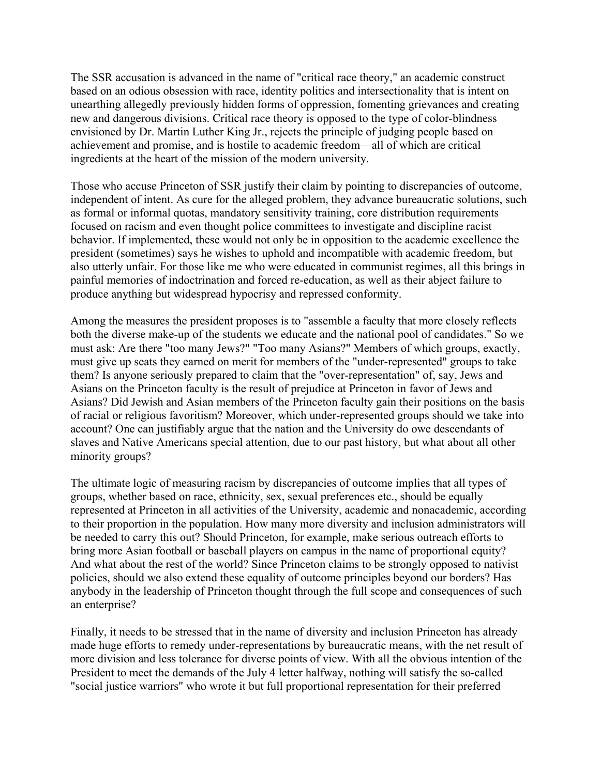The SSR accusation is advanced in the name of "critical race theory," an academic construct based on an odious obsession with race, identity politics and intersectionality that is intent on unearthing allegedly previously hidden forms of oppression, fomenting grievances and creating new and dangerous divisions. Critical race theory is opposed to the type of color-blindness envisioned by Dr. Martin Luther King Jr., rejects the principle of judging people based on achievement and promise, and is hostile to academic freedom—all of which are critical ingredients at the heart of the mission of the modern university.

Those who accuse Princeton of SSR justify their claim by pointing to discrepancies of outcome, independent of intent. As cure for the alleged problem, they advance bureaucratic solutions, such as formal or informal quotas, mandatory sensitivity training, core distribution requirements focused on racism and even thought police committees to investigate and discipline racist behavior. If implemented, these would not only be in opposition to the academic excellence the president (sometimes) says he wishes to uphold and incompatible with academic freedom, but also utterly unfair. For those like me who were educated in communist regimes, all this brings in painful memories of indoctrination and forced re-education, as well as their abject failure to produce anything but widespread hypocrisy and repressed conformity.

Among the measures the president proposes is to "assemble a faculty that more closely reflects both the diverse make-up of the students we educate and the national pool of candidates." So we must ask: Are there "too many Jews?" "Too many Asians?" Members of which groups, exactly, must give up seats they earned on merit for members of the "under-represented" groups to take them? Is anyone seriously prepared to claim that the "over-representation" of, say, Jews and Asians on the Princeton faculty is the result of prejudice at Princeton in favor of Jews and Asians? Did Jewish and Asian members of the Princeton faculty gain their positions on the basis of racial or religious favoritism? Moreover, which under-represented groups should we take into account? One can justifiably argue that the nation and the University do owe descendants of slaves and Native Americans special attention, due to our past history, but what about all other minority groups?

The ultimate logic of measuring racism by discrepancies of outcome implies that all types of groups, whether based on race, ethnicity, sex, sexual preferences etc., should be equally represented at Princeton in all activities of the University, academic and nonacademic, according to their proportion in the population. How many more diversity and inclusion administrators will be needed to carry this out? Should Princeton, for example, make serious outreach efforts to bring more Asian football or baseball players on campus in the name of proportional equity? And what about the rest of the world? Since Princeton claims to be strongly opposed to nativist policies, should we also extend these equality of outcome principles beyond our borders? Has anybody in the leadership of Princeton thought through the full scope and consequences of such an enterprise?

Finally, it needs to be stressed that in the name of diversity and inclusion Princeton has already made huge efforts to remedy under-representations by bureaucratic means, with the net result of more division and less tolerance for diverse points of view. With all the obvious intention of the President to meet the demands of the July 4 letter halfway, nothing will satisfy the so-called "social justice warriors" who wrote it but full proportional representation for their preferred